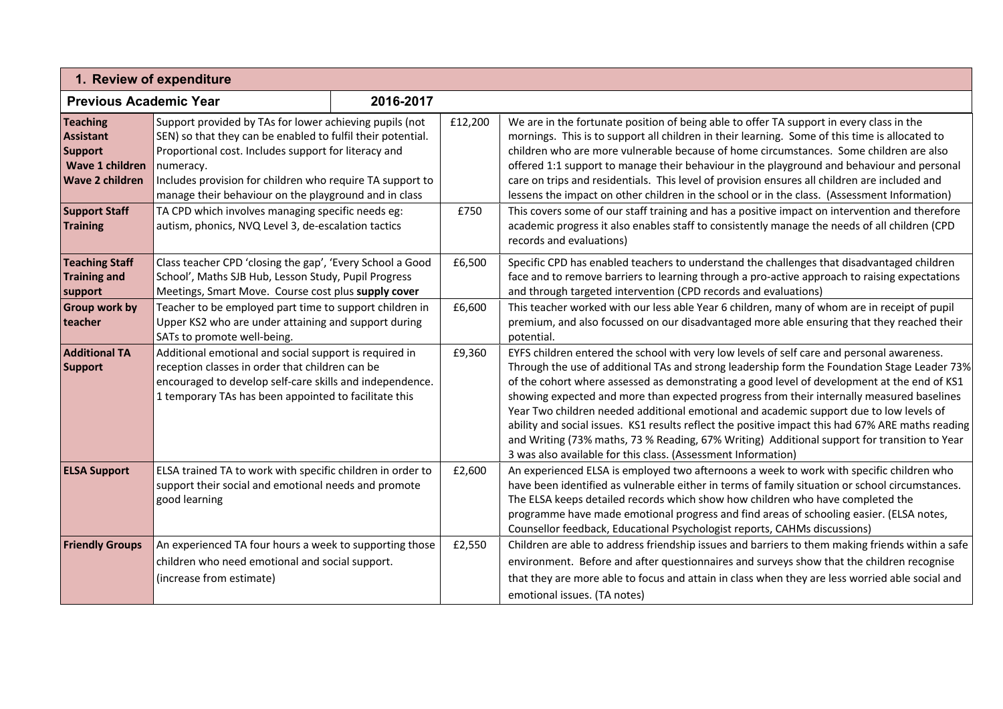| 1. Review of expenditure                                                                           |                                                                                                                                                                                                                                                                                                                   |  |         |                                                                                                                                                                                                                                                                                                                                                                                                                                                                                                                                                                                                                                                                                                                                                         |  |  |  |
|----------------------------------------------------------------------------------------------------|-------------------------------------------------------------------------------------------------------------------------------------------------------------------------------------------------------------------------------------------------------------------------------------------------------------------|--|---------|---------------------------------------------------------------------------------------------------------------------------------------------------------------------------------------------------------------------------------------------------------------------------------------------------------------------------------------------------------------------------------------------------------------------------------------------------------------------------------------------------------------------------------------------------------------------------------------------------------------------------------------------------------------------------------------------------------------------------------------------------------|--|--|--|
| <b>Previous Academic Year</b><br>2016-2017                                                         |                                                                                                                                                                                                                                                                                                                   |  |         |                                                                                                                                                                                                                                                                                                                                                                                                                                                                                                                                                                                                                                                                                                                                                         |  |  |  |
| <b>Teaching</b><br><b>Assistant</b><br><b>Support</b><br>Wave 1 children<br><b>Wave 2 children</b> | Support provided by TAs for lower achieving pupils (not<br>SEN) so that they can be enabled to fulfil their potential.<br>Proportional cost. Includes support for literacy and<br>numeracy.<br>Includes provision for children who require TA support to<br>manage their behaviour on the playground and in class |  | £12,200 | We are in the fortunate position of being able to offer TA support in every class in the<br>mornings. This is to support all children in their learning. Some of this time is allocated to<br>children who are more vulnerable because of home circumstances. Some children are also<br>offered 1:1 support to manage their behaviour in the playground and behaviour and personal<br>care on trips and residentials. This level of provision ensures all children are included and<br>lessens the impact on other children in the school or in the class. (Assessment Information)                                                                                                                                                                     |  |  |  |
| <b>Support Staff</b><br><b>Training</b>                                                            | TA CPD which involves managing specific needs eg:<br>autism, phonics, NVQ Level 3, de-escalation tactics                                                                                                                                                                                                          |  | £750    | This covers some of our staff training and has a positive impact on intervention and therefore<br>academic progress it also enables staff to consistently manage the needs of all children (CPD<br>records and evaluations)                                                                                                                                                                                                                                                                                                                                                                                                                                                                                                                             |  |  |  |
| <b>Teaching Staff</b><br><b>Training and</b><br>support                                            | Class teacher CPD 'closing the gap', 'Every School a Good<br>School', Maths SJB Hub, Lesson Study, Pupil Progress<br>Meetings, Smart Move. Course cost plus supply cover                                                                                                                                          |  | £6,500  | Specific CPD has enabled teachers to understand the challenges that disadvantaged children<br>face and to remove barriers to learning through a pro-active approach to raising expectations<br>and through targeted intervention (CPD records and evaluations)                                                                                                                                                                                                                                                                                                                                                                                                                                                                                          |  |  |  |
| <b>Group work by</b><br>teacher                                                                    | Teacher to be employed part time to support children in<br>Upper KS2 who are under attaining and support during<br>SATs to promote well-being.                                                                                                                                                                    |  | £6,600  | This teacher worked with our less able Year 6 children, many of whom are in receipt of pupil<br>premium, and also focussed on our disadvantaged more able ensuring that they reached their<br>potential.                                                                                                                                                                                                                                                                                                                                                                                                                                                                                                                                                |  |  |  |
| <b>Additional TA</b><br><b>Support</b>                                                             | Additional emotional and social support is required in<br>reception classes in order that children can be<br>encouraged to develop self-care skills and independence.<br>1 temporary TAs has been appointed to facilitate this                                                                                    |  | £9,360  | EYFS children entered the school with very low levels of self care and personal awareness.<br>Through the use of additional TAs and strong leadership form the Foundation Stage Leader 73%<br>of the cohort where assessed as demonstrating a good level of development at the end of KS1<br>showing expected and more than expected progress from their internally measured baselines<br>Year Two children needed additional emotional and academic support due to low levels of<br>ability and social issues. KS1 results reflect the positive impact this had 67% ARE maths reading<br>and Writing (73% maths, 73 % Reading, 67% Writing) Additional support for transition to Year<br>3 was also available for this class. (Assessment Information) |  |  |  |
| <b>ELSA Support</b>                                                                                | ELSA trained TA to work with specific children in order to<br>support their social and emotional needs and promote<br>good learning                                                                                                                                                                               |  | £2,600  | An experienced ELSA is employed two afternoons a week to work with specific children who<br>have been identified as vulnerable either in terms of family situation or school circumstances.<br>The ELSA keeps detailed records which show how children who have completed the<br>programme have made emotional progress and find areas of schooling easier. (ELSA notes,<br>Counsellor feedback, Educational Psychologist reports, CAHMs discussions)                                                                                                                                                                                                                                                                                                   |  |  |  |
| <b>Friendly Groups</b>                                                                             | An experienced TA four hours a week to supporting those<br>children who need emotional and social support.<br>(increase from estimate)                                                                                                                                                                            |  | £2,550  | Children are able to address friendship issues and barriers to them making friends within a safe<br>environment. Before and after questionnaires and surveys show that the children recognise<br>that they are more able to focus and attain in class when they are less worried able social and<br>emotional issues. (TA notes)                                                                                                                                                                                                                                                                                                                                                                                                                        |  |  |  |